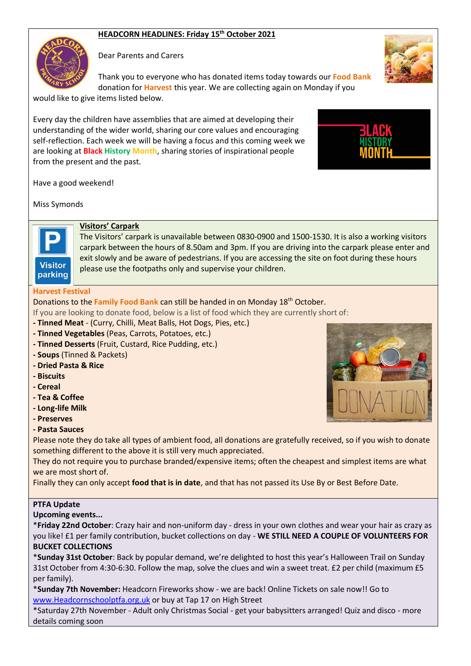# **HEADCORN HEADLINES: Friday 15th October 2021**



Dear Parents and Carers

Thank you to everyone who has donated items today towards our **Food Bank** donation for **Harvest** this year. We are collecting again on Monday if you

would like to give items listed below.

Every day the children have assemblies that are aimed at developing their understanding of the wider world, sharing our core values and encouraging self-reflection. Each week we will be having a focus and this coming week we are looking at **Black History Month**, sharing stories of inspirational people from the present and the past.



Have a good weekend!

Miss Symonds



## **Visitors' Carpark**

The Visitors' carpark is unavailable between 0830-0900 and 1500-1530. It is also a working visitors carpark between the hours of 8.50am and 3pm. If you are driving into the carpark please enter and exit slowly and be aware of pedestrians. If you are accessing the site on foot during these hours please use the footpaths only and supervise your children.

#### **Harvest Festival**

Donations to the **Family Food Bank** can still be handed in on Monday 18th October.

If you are looking to donate food, below is a list of food which they are currently short of:

- **- Tinned Meat**  (Curry, Chilli, Meat Balls, Hot Dogs, Pies, etc.)
- **- Tinned Vegetables** (Peas, Carrots, Potatoes, etc.)
- **- Tinned Desserts** (Fruit, Custard, Rice Pudding, etc.)
- **- Soups** (Tinned & Packets)
- **- Dried Pasta & Rice**
- **- Biscuits**
- **- Cereal**
- **- Tea & Coffee**
- **- Long-life Milk**
- **- Preserves**

## **- Pasta Sauces**

Please note they do take all types of ambient food, all donations are gratefully received, so if you wish to donate something different to the above it is still very much appreciated.

They do not require you to purchase branded/expensive items; often the cheapest and simplest items are what we are most short of.

Finally they can only accept **food that is in date**, and that has not passed its Use By or Best Before Date.

## **PTFA Update**

**Upcoming events...**

\***Friday 22nd October**: Crazy hair and non-uniform day - dress in your own clothes and wear your hair as crazy as you like! £1 per family contribution, bucket collections on day - **WE STILL NEED A COUPLE OF VOLUNTEERS FOR BUCKET COLLECTIONS**

\***Sunday 31st October**: Back by popular demand, we're delighted to host this year's Halloween Trail on Sunday 31st October from 4:30-6:30. Follow the map, solve the clues and win a sweet treat. £2 per child (maximum £5 per family).

\***Sunday 7th November:** Headcorn Fireworks show - we are back! Online Tickets on sale now!! Go to [www.Headcornschoolptfa.org.uk](http://yjzq.mjt.lu/lnk/AVcAAD7OxmgAAAAAAAAAAAH2UIYAAAAUBYYAAAAAAAvUsABhaELx_vs2MW9vS1mNy7s5xItfpQAL6Mw/1/JrYTjRB2caNiEWflLOE8qQ/aHR0cDovL3d3dy5IZWFkY29ybnNjaG9vbHB0ZmEub3JnLnVr) or buy at Tap 17 on High Street

\*Saturday 27th November - Adult only Christmas Social - get your babysitters arranged! Quiz and disco - more details coming soon